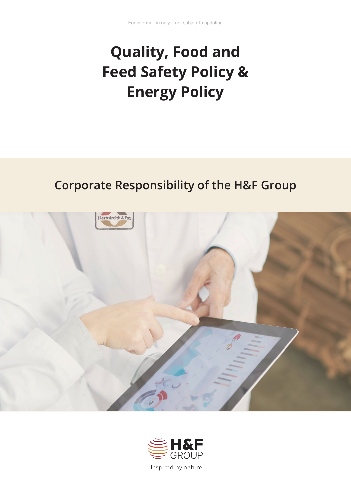# **Quality, Food and Feed Safety Policy & Energy Policy**

# **Corporate Responsibility of the H&F Group**



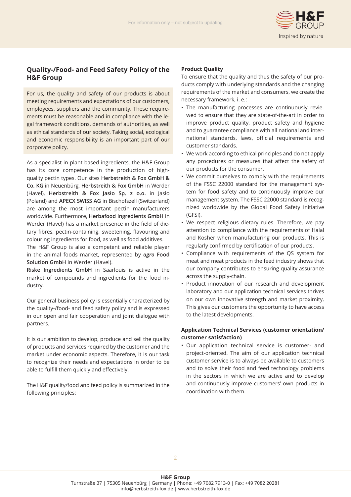

### **Quality-/Food- and Feed Safety Policy of the H&F Group**

For us, the quality and safety of our products is about meeting requirements and expectations of our customers, employees, suppliers and the community. These requirements must be reasonable and in compliance with the legal framework conditions, demands of authorities, as well as ethical standards of our society. Taking social, ecological and economic responsibility is an important part of our corporate policy.

As a specialist in plant-based ingredients, the H&F Group has its core competence in the production of highquality pectin types. Our sites **Herbstreith & Fox GmbH & Co. KG** in Neuenbürg, **Herbstreith & Fox GmbH** in Werder (Havel), **Herbstreith & Fox Jasło Sp. z o.o.** in Jasło (Poland) and **APECX SWISS AG** in Bischofszell (Switzerland) are among the most important pectin manufacturers worldwide. Furthermore, **Herbafood Ingredients GmbH** in Werder (Havel) has a market presence in the field of dietary fibres, pectin-containing, sweetening, flavouring and colouring ingredients for food, as well as food additives.

The H&F Group is also a competent and reliable player in the animal foods market, represented by *agro* **Food Solution GmbH** in Werder (Havel).

**Riske Ingredients GmbH** in Saarlouis is active in the market of compounds and ingredients for the food industry.

Our general business policy is essentially characterized by the quality-/food- and feed safety policy and is expressed in our open and fair cooperation and joint dialogue with partners.

It is our ambition to develop, produce and sell the quality of products and services required by the customer and the market under economic aspects. Therefore, it is our task to recognize their needs and expectations in order to be able to fulfill them quickly and effectively.

The H&F quality/food and feed policy is summarized in the following principles:

#### **Product Quality**

To ensure that the quality and thus the safety of our products comply with underlying standards and the changing requirements of the market and consumers, we create the necessary framework, i. e.:

- The manufacturing processes are continuously reviewed to ensure that they are state-of-the-art in order to improve product quality, product safety and hygiene and to guarantee compliance with all national and international standards, laws, official requirements and customer standards.
- We work according to ethical principles and do not apply any procedures or measures that affect the safety of our products for the consumer.
- We commit ourselves to comply with the requirements of the FSSC 22000 standard for the management system for food safety and to continuously improve our management system. The FSSC 22000 standard is recognized worldwide by the Global Food Safety Initiative (GFSI).
- We respect religious dietary rules. Therefore, we pay attention to compliance with the requirements of Halal and Kosher when manufacturing our products. This is regularly confirmed by certification of our products.
- Compliance with requirements of the QS system for meat and meat products in the feed industry shows that our company contributes to ensuring quality assurance across the supply-chain.
- Product innovation of our research and development laboratory and our application technical services thrives on our own innovative strength and market proximity. This gives our customers the opportunity to have access to the latest developments.

#### **Application Technical Services (customer orientation/ customer satisfaction)**

• Our application technical service is customer- and project-oriented. The aim of our application technical customer service is to always be available to customers and to solve their food and feed technology problems in the sectors in which we are active and to develop and continuously improve customers' own products in coordination with them.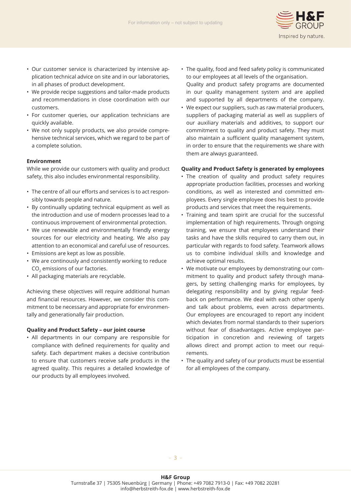

- Our customer service is characterized by intensive application technical advice on site and in our laboratories, in all phases of product development.
- We provide recipe suggestions and tailor-made products and recommendations in close coordination with our customers.
- For customer queries, our application technicians are quickly available.
- We not only supply products, we also provide comprehensive technical services, which we regard to be part of a complete solution.

#### **Environment**

While we provide our customers with quality and product safety, this also includes environmental responsibility.

- The centre of all our efforts and services is to act responsibly towards people and nature.
- By continually updating technical equipment as well as the introduction and use of modern processes lead to a continuous improvement of environmental protection.
- We use renewable and environmentally friendly energy sources for our electricity and heating. We also pay attention to an economical and careful use of resources.
- Emissions are kept as low as possible.
- We are continously and consistently working to reduce CO<sub>2</sub> emissions of our factories.
- All packaging materials are recyclable.

Achieving these objectives will require additional human and financial resources. However, we consider this commitment to be necessary and appropriate for environmentally and generationally fair production.

#### **Quality and Product Safety – our joint course**

• All departments in our company are responsible for compliance with defined requirements for quality and safety. Each department makes a decisive contribution to ensure that customers receive safe products in the agreed quality. This requires a detailed knowledge of our products by all employees involved.

- The quality, food and feed safety policy is communicated to our employees at all levels of the organisation.
- Quality and product safety programs are documented in our quality management system and are applied and supported by all departments of the company.
- We expect our suppliers, such as raw material producers, suppliers of packaging material as well as suppliers of our auxiliary materials and additives, to support our commitment to quality and product safety. They must also maintain a sufficient quality management system, in order to ensure that the requirements we share with them are always guaranteed.

#### **Quality and Product Safety is generated by employees**

- The creation of quality and product safety requires appropriate production facilities, processes and working conditions, as well as interested and committed employees. Every single employee does his best to provide products and services that meet the requirements.
- Training and team spirit are crucial for the successful implementation of high requirements. Through ongoing training, we ensure that employees understand their tasks and have the skills required to carry them out, in particular with regards to food safety. Teamwork allows us to combine individual skills and knowledge and achieve optimal results.
- We motivate our employees by demonstrating our commitment to quality and product safety through managers, by setting challenging marks for employees, by delegating responsibility and by giving regular feedback on performance. We deal with each other openly and talk about problems, even across departments. Our employees are encouraged to report any incident which deviates from normal standards to their superiors without fear of disadvantages. Active employee participation in concretion and reviewing of targets allows direct and prompt action to meet our requirements.
- The quality and safety of our products must be essential for all employees of the company.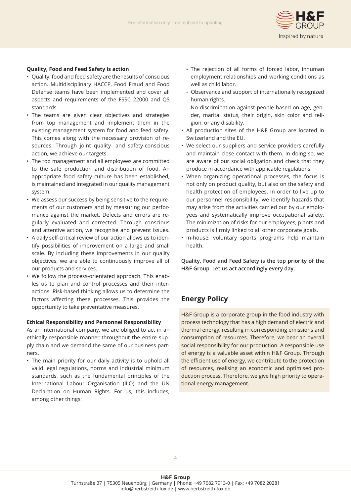

#### **Quality, Food and Feed Safety is action**

- Quality, food and feed safety are the results of conscious action. Multidisciplinary HACCP, Food Fraud and Food Defense teams have been implemented and cover all aspects and requirements of the FSSC 22000 and QS standards.
- The teams are given clear objectives and strategies from top management and implement them in the existing management system for food and feed safety. This comes along with the necessary provision of resources. Through joint quality- and safety-conscious action, we achieve our targets.
- The top management and all employees are committed to the safe production and distribution of food. An appropriate food safety culture has been established, is maintained and integrated in our quality management system.
- We assess our success by being sensitive to the requirements of our customers and by measuring our performance against the market. Defects and errors are regularly evaluated and corrected. Through conscious and attentive action, we recognise and prevent issues.
- A daily self-critical review of our action allows us to identify possibilities of improvement on a large and small scale. By including these improvements in our quality objectives, we are able to continuously improve all of our products and services.
- We follow the process-orientated approach. This enables us to plan and control processes and their interactions. Risk-based thinking allows us to determine the factors affecting these processes. This provides the opportunity to take preventative measures.

#### **Ethical Responsibility and Personnel Responsibility**

As an international company, we are obliged to act in an ethically responsible manner throughout the entire supply chain and we demand the same of our business partners.

• The main priority for our daily activity is to uphold all valid legal regulations, norms and industrial minimum standards, such as the fundamental principles of the International Labour Organisation (ILO) and the UN Declaration on Human Rights. For us, this includes, among other things:

- The rejection of all forms of forced labor, inhuman employment relationships and working conditions as well as child labor.
- Observance and support of internationally recognized human rights.
- No discrimination against people based on age, gen der, marital status, their origin, skin color and reli gion, or any disability.
- All production sites of the H&F Group are located in Switzerland and the EU.
- We select our suppliers and service providers carefully and maintain close contact with them. In doing so, we are aware of our social obligation and check that they produce in accordance with applicable regulations.
- When organizing operational processes, the focus is not only on product quality, but also on the safety and health protection of employees. In order to live up to our personnel responsibility, we identify hazards that may arise from the activities carried out by our employees and systematically improve occupational safety. The minimization of risks for our employees, plants and products is firmly linked to all other corporate goals.
- In-house, voluntary sports programs help maintain health.

**Quality, Food and Feed Safety is the top priority of the H&F Group. Let us act accordingly every day.**

## **Energy Policy**

H&F Group is a corporate group in the food industry with process technology that has a high demand of electric and thermal energy, resulting in corresponding emissions and consumption of resources. Therefore, we bear an overall social responsibility for our production. A responsible use of energy is a valuable asset within H&F Group. Through the efficient use of energy, we contribute to the protection of resources, realising an economic and optimised production process. Therefore, we give high priority to operational energy management.